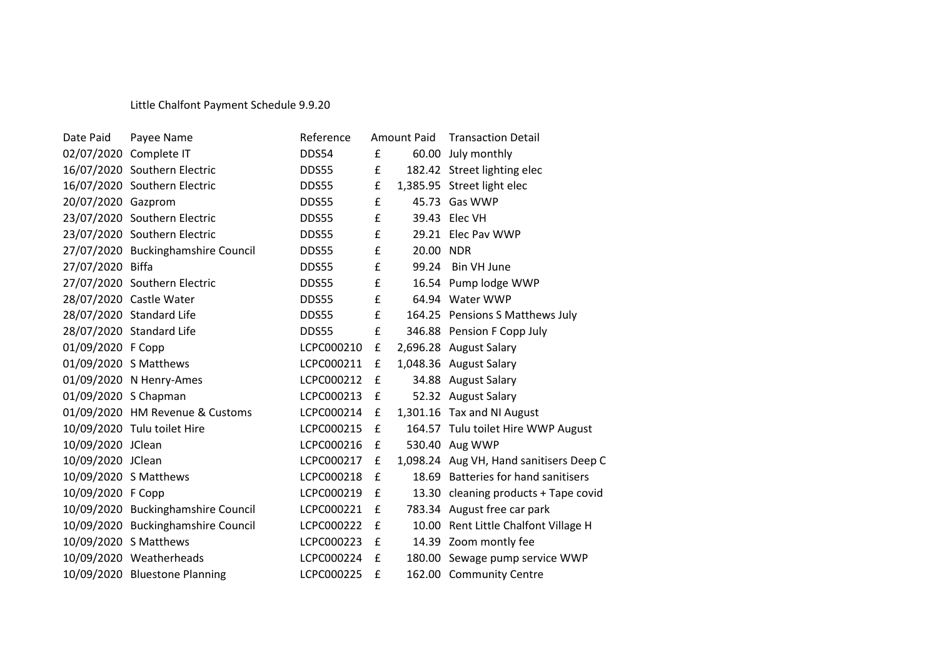## Little Chalfont Payment Schedule 9.9.20

| Date Paid            | Payee Name                         | Reference  | Amount Paid |           | <b>Transaction Detail</b>               |
|----------------------|------------------------------------|------------|-------------|-----------|-----------------------------------------|
|                      | 02/07/2020 Complete IT             | DDS54      | £           |           | 60.00 July monthly                      |
|                      | 16/07/2020 Southern Electric       | DDS55      | £           |           | 182.42 Street lighting elec             |
|                      | 16/07/2020 Southern Electric       | DDS55      | £           |           | 1,385.95 Street light elec              |
| 20/07/2020 Gazprom   |                                    | DDS55      | £           |           | 45.73 Gas WWP                           |
|                      | 23/07/2020 Southern Electric       | DDS55      | £           |           | 39.43 Elec VH                           |
|                      | 23/07/2020 Southern Electric       | DDS55      | £           |           | 29.21 Elec Pav WWP                      |
|                      | 27/07/2020 Buckinghamshire Council | DDS55      | £           | 20.00 NDR |                                         |
| 27/07/2020 Biffa     |                                    | DDS55      | £           |           | 99.24 Bin VH June                       |
|                      | 27/07/2020 Southern Electric       | DDS55      | £           |           | 16.54 Pump lodge WWP                    |
|                      | 28/07/2020 Castle Water            | DDS55      | £           |           | 64.94 Water WWP                         |
|                      | 28/07/2020 Standard Life           | DDS55      | £           |           | 164.25 Pensions S Matthews July         |
|                      | 28/07/2020 Standard Life           | DDS55      | £           |           | 346.88 Pension F Copp July              |
| 01/09/2020 F Copp    |                                    | LCPC000210 | £           |           | 2,696.28 August Salary                  |
|                      | 01/09/2020 S Matthews              | LCPC000211 | £           |           | 1,048.36 August Salary                  |
|                      | 01/09/2020 N Henry-Ames            | LCPC000212 | £           |           | 34.88 August Salary                     |
| 01/09/2020 S Chapman |                                    | LCPC000213 | £           |           | 52.32 August Salary                     |
|                      | 01/09/2020 HM Revenue & Customs    | LCPC000214 | £           |           | 1,301.16 Tax and NI August              |
|                      | 10/09/2020 Tulu toilet Hire        | LCPC000215 | £           |           | 164.57 Tulu toilet Hire WWP August      |
| 10/09/2020 JClean    |                                    | LCPC000216 | £           |           | 530.40 Aug WWP                          |
| 10/09/2020 JClean    |                                    | LCPC000217 | £           |           | 1,098.24 Aug VH, Hand sanitisers Deep C |
|                      | 10/09/2020 S Matthews              | LCPC000218 | £           |           | 18.69 Batteries for hand sanitisers     |
| 10/09/2020 F Copp    |                                    | LCPC000219 | £           |           | 13.30 cleaning products + Tape covid    |
|                      | 10/09/2020 Buckinghamshire Council | LCPC000221 | £           |           | 783.34 August free car park             |
|                      | 10/09/2020 Buckinghamshire Council | LCPC000222 | £           |           | 10.00 Rent Little Chalfont Village H    |
|                      | 10/09/2020 S Matthews              | LCPC000223 | £           |           | 14.39 Zoom montly fee                   |
|                      | 10/09/2020 Weatherheads            | LCPC000224 | £           |           | 180.00 Sewage pump service WWP          |
|                      | 10/09/2020 Bluestone Planning      | LCPC000225 | £           |           | 162.00 Community Centre                 |